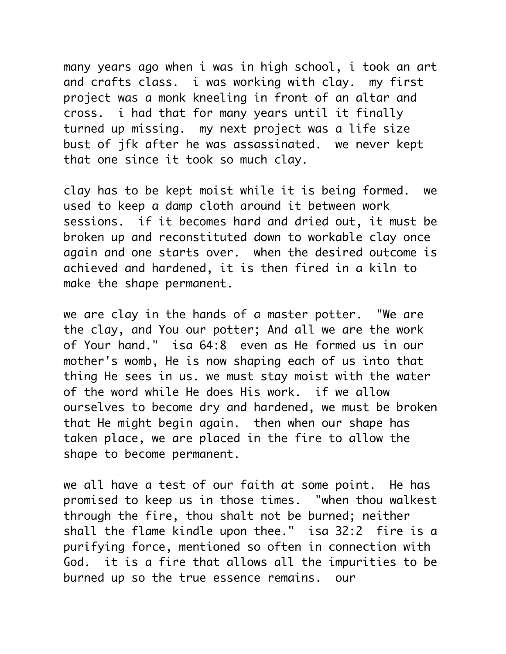many years ago when i was in high school, i took an art and crafts class. i was working with clay. my first project was a monk kneeling in front of an altar and cross. i had that for many years until it finally turned up missing. my next project was a life size bust of jfk after he was assassinated. we never kept that one since it took so much clay.

clay has to be kept moist while it is being formed. we used to keep a damp cloth around it between work sessions. if it becomes hard and dried out, it must be broken up and reconstituted down to workable clay once again and one starts over. when the desired outcome is achieved and hardened, it is then fired in a kiln to make the shape permanent.

we are clay in the hands of a master potter. "We are the clay, and You our potter; And all we are the work of Your hand." isa 64:8 even as He formed us in our mother's womb, He is now shaping each of us into that thing He sees in us. we must stay moist with the water of the word while He does His work. if we allow ourselves to become dry and hardened, we must be broken that He might begin again. then when our shape has taken place, we are placed in the fire to allow the shape to become permanent.

we all have a test of our faith at some point. He has promised to keep us in those times. "when thou walkest through the fire, thou shalt not be burned; neither shall the flame kindle upon thee." isa 32:2 fire is a purifying force, mentioned so often in connection with God. it is a fire that allows all the impurities to be burned up so the true essence remains. our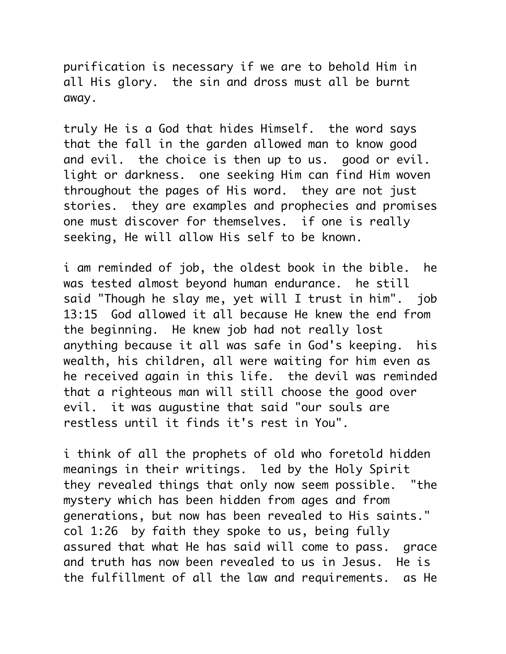purification is necessary if we are to behold Him in all His glory. the sin and dross must all be burnt away.

truly He is a God that hides Himself. the word says that the fall in the garden allowed man to know good and evil. the choice is then up to us. good or evil. light or darkness. one seeking Him can find Him woven throughout the pages of His word. they are not just stories. they are examples and prophecies and promises one must discover for themselves. if one is really seeking, He will allow His self to be known.

i am reminded of job, the oldest book in the bible. he was tested almost beyond human endurance. he still said "Though he slay me, yet will I trust in him". job 13:15 God allowed it all because He knew the end from the beginning. He knew job had not really lost anything because it all was safe in God's keeping. his wealth, his children, all were waiting for him even as he received again in this life. the devil was reminded that a righteous man will still choose the good over evil. it was augustine that said "our souls are restless until it finds it's rest in You".

i think of all the prophets of old who foretold hidden meanings in their writings. led by the Holy Spirit they revealed things that only now seem possible. "the mystery which has been hidden from ages and from generations, but now has been revealed to His saints." col 1:26 by faith they spoke to us, being fully assured that what He has said will come to pass. grace and truth has now been revealed to us in Jesus. He is the fulfillment of all the law and requirements. as He